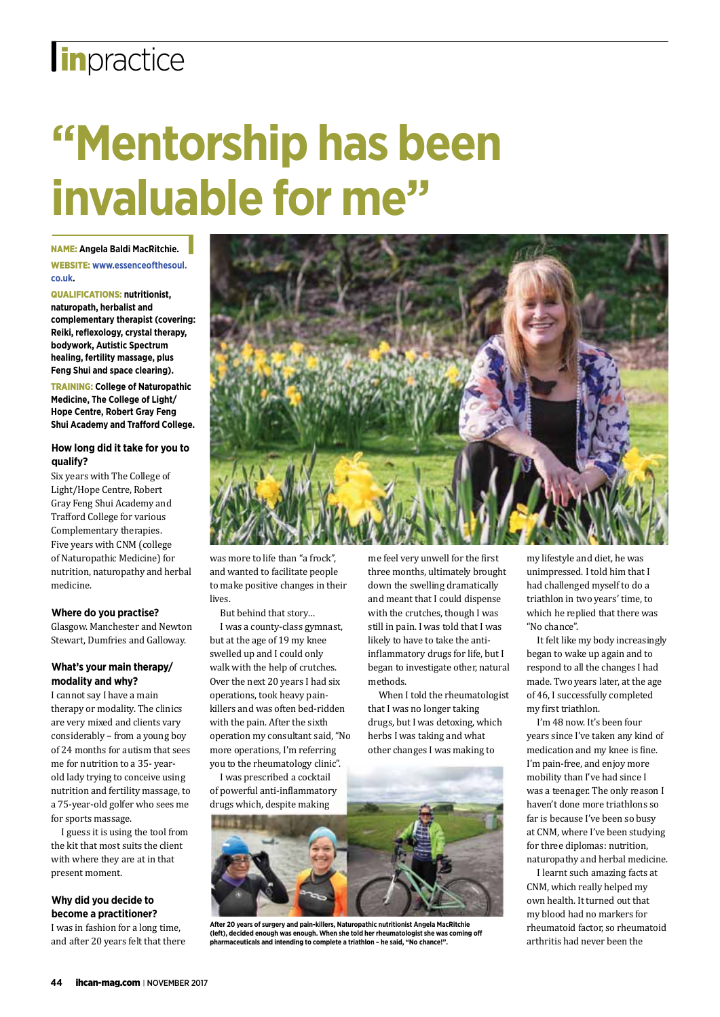## **lin**practice

# **"Mentorship has been invaluable for me"**

Name: **Angela Baldi MacRitchie.** Website: **www.essenceofthesoul.**

**co.uk.** Qualifications: **nutritionist,** 

**naturopath, herbalist and complementary therapist (covering: Reiki, reflexology, crystal therapy, bodywork, Autistic Spectrum healing, fertility massage, plus Feng Shui and space clearing).** 

Training: **College of Naturopathic Medicine, The College of Light/ Hope Centre, Robert Gray Feng Shui Academy and Trafford College.**

### **How long did it take for you to qualify?**

Six years with The College of Light/Hope Centre, Robert Gray Feng Shui Academy and Trafford College for various Complementary therapies. Five years with CNM (college of Naturopathic Medicine) for nutrition, naturopathy and herbal medicine.

### **Where do you practise?**

Glasgow. Manchester and Newton Stewart, Dumfries and Galloway.

### **What's your main therapy/ modality and why?**

I cannot say I have a main therapy or modality. The clinics are very mixed and clients vary considerably – from a young boy of 24 months for autism that sees me for nutrition to a 35- yearold lady trying to conceive using nutrition and fertility massage, to a 75-year-old golfer who sees me for sports massage.

I guess it is using the tool from the kit that most suits the client with where they are at in that present moment.

### **Why did you decide to become a practitioner?**

I was in fashion for a long time, and after 20 years felt that there



was more to life than "a frock", and wanted to facilitate people to make positive changes in their lives.

But behind that story…

I was a county-class gymnast, but at the age of 19 my knee swelled up and I could only walk with the help of crutches. Over the next 20 years I had six operations, took heavy painkillers and was often bed-ridden with the pain. After the sixth operation my consultant said, "No more operations, I'm referring you to the rheumatology clinic".

I was prescribed a cocktail of powerful anti-inflammatory drugs which, despite making

me feel very unwell for the first three months, ultimately brought down the swelling dramatically and meant that I could dispense with the crutches, though I was still in pain. I was told that I was likely to have to take the antiinflammatory drugs for life, but I began to investigate other, natural methods.

When I told the rheumatologist that I was no longer taking drugs, but I was detoxing, which herbs I was taking and what other changes I was making to

**After 20 years of surgery and pain-killers, Naturopathic nutritionist Angela MacRitchie (left), decided enough was enough. When she told her rheumatologist she was coming off pharmaceuticals and intending to complete a triathlon – he said, "No chance!".** 

my lifestyle and diet, he was unimpressed. I told him that I had challenged myself to do a triathlon in two years' time, to which he replied that there was "No chance".

It felt like my body increasingly began to wake up again and to respond to all the changes I had made. Two years later, at the age of 46, I successfully completed my first triathlon.

I'm 48 now. It's been four years since I've taken any kind of medication and my knee is fine. I'm pain-free, and enjoy more mobility than I've had since I was a teenager. The only reason I haven't done more triathlons so far is because I've been so busy at CNM, where I've been studying for three diplomas: nutrition, naturopathy and herbal medicine.

I learnt such amazing facts at CNM, which really helped my own health. It turned out that my blood had no markers for rheumatoid factor, so rheumatoid arthritis had never been the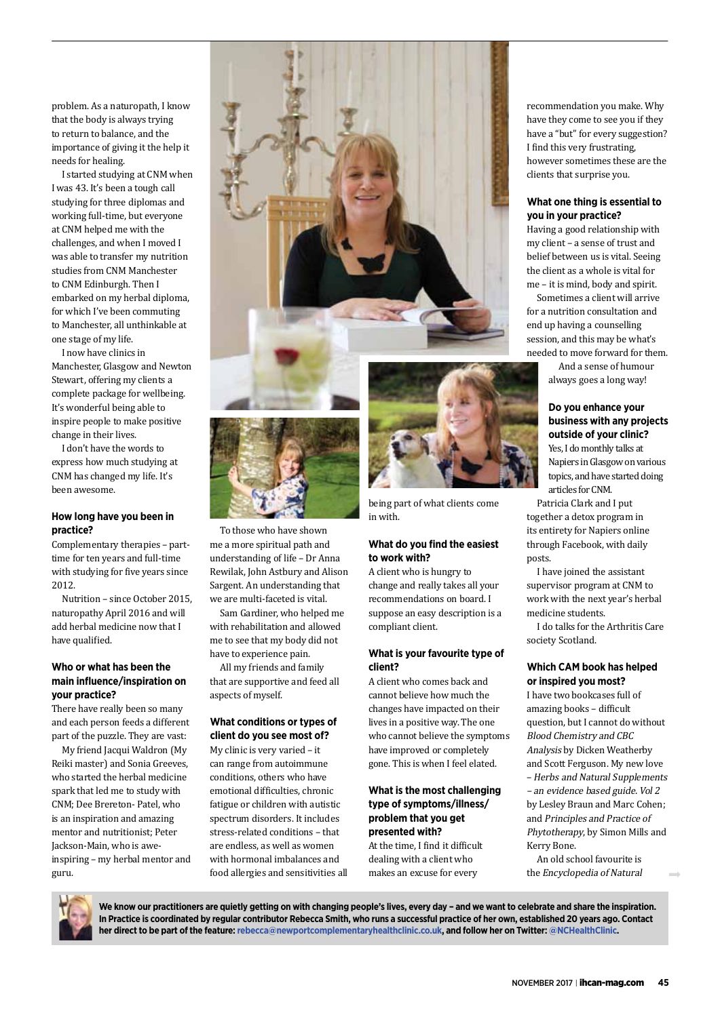problem. As a naturopath, I know that the body is always trying to return to balance, and the importance of giving it the help it needs for healing.

I started studying at CNM when I was 43. It's been a tough call studying for three diplomas and working full-time, but everyone at CNM helped me with the challenges, and when I moved I was able to transfer my nutrition studies from CNM Manchester to CNM Edinburgh. Then I embarked on my herbal diploma, for which I've been commuting to Manchester, all unthinkable at one stage of my life.

I now have clinics in Manchester, Glasgow and Newton Stewart, offering my clients a complete package for wellbeing. It's wonderful being able to inspire people to make positive change in their lives.

I don't have the words to express how much studying at CNM has changed my life. It's been awesome.

### **How long have you been in practice?**

Complementary therapies – parttime for ten years and full-time with studying for five years since 2012.

Nutrition – since October 2015, naturopathy April 2016 and will add herbal medicine now that I have qualified.

### **Who or what has been the main influence/inspiration on your practice?**

There have really been so many and each person feeds a different part of the puzzle. They are vast:

My friend Jacqui Waldron (My Reiki master) and Sonia Greeves, who started the herbal medicine spark that led me to study with CNM; Dee Brereton- Patel, who is an inspiration and amazing mentor and nutritionist; Peter Jackson-Main, who is aweinspiring – my herbal mentor and guru.





To those who have shown me a more spiritual path and understanding of life – Dr Anna Rewilak, John Astbury and Alison Sargent. An understanding that we are multi-faceted is vital.

Sam Gardiner, who helped me with rehabilitation and allowed me to see that my body did not have to experience pain.

All my friends and family that are supportive and feed all aspects of myself.

### **What conditions or types of client do you see most of?**

My clinic is very varied – it can range from autoimmune conditions, others who have emotional difficulties, chronic fatigue or children with autistic spectrum disorders. It includes stress-related conditions – that are endless, as well as women with hormonal imbalances and food allergies and sensitivities all



being part of what clients come in with.

### **What do you find the easiest to work with?**

A client who is hungry to change and really takes all your recommendations on board. I suppose an easy description is a compliant client.

### **What is your favourite type of client?**

A client who comes back and cannot believe how much the changes have impacted on their lives in a positive way. The one who cannot believe the symptoms have improved or completely gone. This is when I feel elated.

### **What is the most challenging type of symptoms/illness/ problem that you get presented with?**

At the time, I find it difficult dealing with a client who makes an excuse for every

recommendation you make. Why have they come to see you if they have a "but" for every suggestion? I find this very frustrating, however sometimes these are the clients that surprise you.

### **What one thing is essential to you in your practice?**

Having a good relationship with my client – a sense of trust and belief between us is vital. Seeing the client as a whole is vital for me – it is mind, body and spirit.

Sometimes a client will arrive for a nutrition consultation and end up having a counselling session, and this may be what's needed to move forward for them.

> And a sense of humour always goes a long way!

### **Do you enhance your business with any projects outside of your clinic?**

Yes, I do monthly talks at Napiers in Glasgow on various topics, and have started doing articles for CNM.

Patricia Clark and I put together a detox program in its entirety for Napiers online through Facebook, with daily posts.

I have joined the assistant supervisor program at CNM to work with the next year's herbal medicine students.

I do talks for the Arthritis Care society Scotland.

### **Which CAM book has helped or inspired you most?**

I have two bookcases full of amazing books – difficult question, but I cannot do without Blood Chemistry and CBC Analysis by Dicken Weatherby and Scott Ferguson. My new love – Herbs and Natural Supplements – an evidence based guide. Vol 2 by Lesley Braun and Marc Cohen; and Principles and Practice of Phytotherapy, by Simon Mills and Kerry Bone.

An old school favourite is the Encyclopedia of Natural



We know our practitioners are quietly getting on with changing people's lives, every day - and we want to celebrate and share the inspiration. **In Practice is coordinated by regular contributor Rebecca Smith, who runs a successful practice of her own, established 20 years ago. Contact her direct to be part of the feature: rebecca@newportcomplementaryhealthclinic.co.uk, and follow her on Twitter: @NCHealthClinic.**